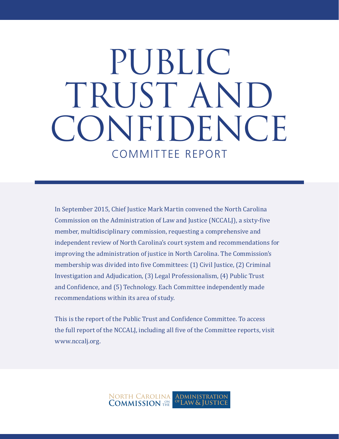# COMMITTEE REPORT PUBLIC TRUST AND CONFIDENCE

In September 2015, Chief Justice Mark Martin convened the North Carolina Commission on the Administration of Law and Justice (NCCALJ), a sixty-five member, multidisciplinary commission, requesting a comprehensive and independent review of North Carolina's court system and recommendations for improving the administration of justice in North Carolina. The Commission's membership was divided into five Committees: (1) Civil Justice, (2) Criminal Investigation and Adjudication, (3) Legal Professionalism, (4) Public Trust and Confidence, and (5) Technology. Each Committee independently made recommendations within its area of study.

This is the report of the Public Trust and Confidence Committee. To access the full report of the NCCALJ, including all five of the Committee reports, visit www.nccalj.org.

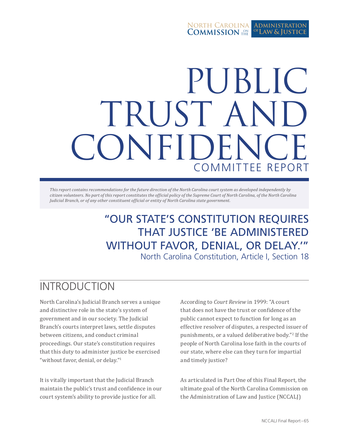#### North Carolina **COMMISSION** THE **Administration Law & Justice of**

# PUBLIC TRUST AN CONFIDEN COMMITTEE REPORT

*This report contains recommendations for the future direction of the North Carolina court system as developed independently by citizen volunteers. No part of this report constitutes the official policy of the Supreme Court of North Carolina, of the North Carolina Judicial Branch, or of any other constituent official or entity of North Carolina state government.*

> "OUR STATE'S CONSTITUTION REQUIRES THAT JUSTICE 'BE ADMINISTERED WITHOUT FAVOR, DENIAL, OR DELAY.'" North Carolina Constitution, Article I, Section 18

# INTRODUCTION

North Carolina's Judicial Branch serves a unique and distinctive role in the state's system of government and in our society. The Judicial Branch's courts interpret laws, settle disputes between citizens, and conduct criminal proceedings. Our state's constitution requires that this duty to administer justice be exercised "without favor, denial, or delay."<sup>1</sup>

It is vitally important that the Judicial Branch maintain the public's trust and confidence in our court system's ability to provide justice for all.

According to *Court Review* in 1999: "A court that does not have the trust or confidence of the public cannot expect to function for long as an effective resolver of disputes, a respected issuer of punishments, or a valued deliberative body."<sup>2</sup> If the people of North Carolina lose faith in the courts of our state, where else can they turn for impartial and timely justice?

As articulated in Part One of this Final Report, the ultimate goal of the North Carolina Commission on the Administration of Law and Justice (NCCALJ)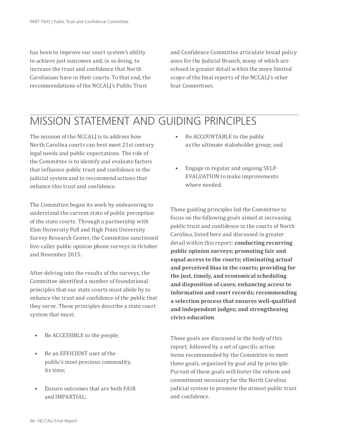has been to improve our court system's ability to achieve just outcomes and, in so doing, to increase the trust and confidence that North Carolinians have in their courts. To that end, the recommendations of the NCCALJ's Public Trust

and Confidence Committee articulate broad policy aims for the Judicial Branch, many of which are echoed in greater detail within the more limited scope of the final reports of the NCCALJ's other four Committees.

# MISSION STATEMENT AND GUIDING PRINCIPLES

The mission of the NCCALI is to address how North Carolina courts can best meet 21st century legal needs and public expectations. The role of the Committee is to identify and evaluate factors that influence public trust and confidence in the judicial system and to recommend actions that enhance this trust and confidence.

The Committee began its work by endeavoring to understand the current state of public perception of the state courts. Through a partnership with Elon University Poll and High Point University Survey Research Center, the Committee sanctioned live-caller public opinion phone surveys in October and November 2015.

After delving into the results of the surveys, the Committee identified a number of foundational principles that our state courts must abide by to enhance the trust and confidence of the public that they serve. Those principles describe a state court system that must:

- Be ACCESSIBLE to the people;
- Be an EFFICIENT user of the public's most precious commodity, its time;
- Ensure outcomes that are both FAIR and IMPARTIAL;
- Be ACCOUNTABLE to the public as the ultimate stakeholder group; and
- Engage in regular and ongoing SELF-EVALUATION to make improvements where needed.

These guiding principles led the Committee to focus on the following goals aimed at increasing public trust and confidence in the courts of North Carolina, listed here and discussed in greater detail within this report: **conducting recurring public opinion surveys; promoting fair and equal access to the courts; eliminating actual and perceived bias in the courts; providing for the just, timely, and economical scheduling and disposition of cases; enhancing access to information and court records; recommending a selection process that ensures well-qualified and independent judges; and strengthening civics education**.

These goals are discussed in the body of this report, followed by a set of specific action items recommended by the Committee to meet these goals, organized by goal and by principle. Pursuit of these goals will foster the reform and commitment necessary for the North Carolina judicial system to promote the utmost public trust and confidence.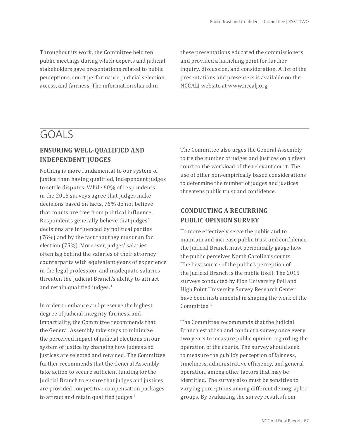Throughout its work, the Committee held ten public meetings during which experts and judicial stakeholders gave presentations related to public perceptions, court performance, judicial selection, access, and fairness. The information shared in

these presentations educated the commissioners and provided a launching point for further inquiry, discussion, and consideration. A list of the presentations and presenters is available on the NCCALJ website at www.nccalj.org.

# GOALS

## **ENSURING WELL-QUALIFIED AND INDEPENDENT JUDGES**

Nothing is more fundamental to our system of justice than having qualified, independent judges to settle disputes. While 60% of respondents in the 2015 surveys agree that judges make decisions based on facts, 76% do not believe that courts are free from political influence. Respondents generally believe that judges' decisions are influenced by political parties (76%) and by the fact that they must run for election (75%). Moreover, judges' salaries often lag behind the salaries of their attorney counterparts with equivalent years of experience in the legal profession, and inadequate salaries threaten the Judicial Branch's ability to attract and retain qualified judges.<sup>3</sup>

In order to enhance and preserve the highest degree of judicial integrity, fairness, and impartiality, the Committee recommends that the General Assembly take steps to minimize the perceived impact of judicial elections on our system of justice by changing how judges and justices are selected and retained. The Committee further recommends that the General Assembly take action to secure sufficient funding for the Judicial Branch to ensure that judges and justices are provided competitive compensation packages to attract and retain qualified judges.<sup>4</sup>

The Committee also urges the General Assembly to tie the number of judges and justices on a given court to the workload of the relevant court. The use of other non-empirically based considerations to determine the number of judges and justices threatens public trust and confidence.

## **CONDUCTING A RECURRING PUBLIC OPINION SURVEY**

To more effectively serve the public and to maintain and increase public trust and confidence, the Judicial Branch must periodically gauge how the public perceives North Carolina's courts. The best source of the public's perception of the Judicial Branch is the public itself. The 2015 surveys conducted by Elon University Poll and High Point University Survey Research Center have been instrumental in shaping the work of the Committee.<sup>5</sup>

The Committee recommends that the Judicial Branch establish and conduct a survey once every two years to measure public opinion regarding the operation of the courts. The survey should seek to measure the public's perception of fairness, timeliness, administrative efficiency, and general operation, among other factors that may be identified. The survey also must be sensitive to varying perceptions among different demographic groups. By evaluating the survey results from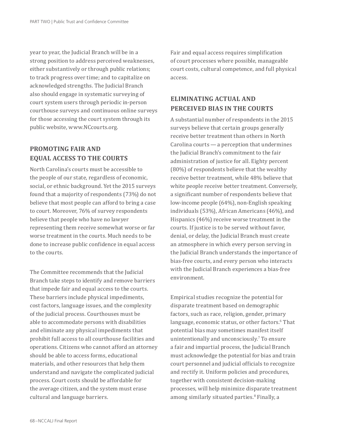year to year, the Judicial Branch will be in a strong position to address perceived weaknesses, either substantively or through public relations; to track progress over time; and to capitalize on acknowledged strengths. The Judicial Branch also should engage in systematic surveying of court system users through periodic in-person courthouse surveys and continuous online surveys for those accessing the court system through its public website, www.NCcourts.org.

### **PROMOTING FAIR AND EQUAL ACCESS TO THE COURTS**

North Carolina's courts must be accessible to the people of our state, regardless of economic, social, or ethnic background. Yet the 2015 surveys found that a majority of respondents (73%) do not believe that most people can afford to bring a case to court. Moreover, 76% of survey respondents believe that people who have no lawyer representing them receive somewhat worse or far worse treatment in the courts. Much needs to be done to increase public confidence in equal access to the courts.

The Committee recommends that the Judicial Branch take steps to identify and remove barriers that impede fair and equal access to the courts. These barriers include physical impediments, cost factors, language issues, and the complexity of the judicial process. Courthouses must be able to accommodate persons with disabilities and eliminate any physical impediments that prohibit full access to all courthouse facilities and operations. Citizens who cannot afford an attorney should be able to access forms, educational materials, and other resources that help them understand and navigate the complicated judicial process. Court costs should be affordable for the average citizen, and the system must erase cultural and language barriers.

Fair and equal access requires simplification of court processes where possible, manageable court costs, cultural competence, and full physical access.

## **ELIMINATING ACTUAL AND PERCEIVED BIAS IN THE COURTS**

A substantial number of respondents in the 2015 surveys believe that certain groups generally receive better treatment than others in North Carolina courts — a perception that undermines the Judicial Branch's commitment to the fair administration of justice for all. Eighty percent (80%) of respondents believe that the wealthy receive better treatment, while 48% believe that white people receive better treatment. Conversely, a significant number of respondents believe that low-income people (64%), non-English speaking individuals (53%), African Americans (46%), and Hispanics (46%) receive worse treatment in the courts. If justice is to be served without favor, denial, or delay, the Judicial Branch must create an atmosphere in which every person serving in the Judicial Branch understands the importance of bias-free courts, and every person who interacts with the Judicial Branch experiences a bias-free environment.

Empirical studies recognize the potential for disparate treatment based on demographic factors, such as race, religion, gender, primary language, economic status, or other factors.<sup>6</sup> That potential bias may sometimes manifest itself unintentionally and unconsciously.7 To ensure a fair and impartial process, the Judicial Branch must acknowledge the potential for bias and train court personnel and judicial officials to recognize and rectify it. Uniform policies and procedures, together with consistent decision-making processes, will help minimize disparate treatment among similarly situated parties.<sup>8</sup> Finally, a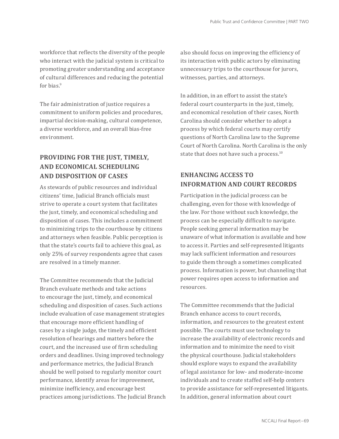workforce that reflects the diversity of the people who interact with the judicial system is critical to promoting greater understanding and acceptance of cultural differences and reducing the potential for bias.<sup>9</sup>

The fair administration of justice requires a commitment to uniform policies and procedures, impartial decision-making, cultural competence, a diverse workforce, and an overall bias-free environment.

## **PROVIDING FOR THE JUST, TIMELY, AND ECONOMICAL SCHEDULING AND DISPOSITION OF CASES**

As stewards of public resources and individual citizens' time, Judicial Branch officials must strive to operate a court system that facilitates the just, timely, and economical scheduling and disposition of cases. This includes a commitment to minimizing trips to the courthouse by citizens and attorneys when feasible. Public perception is that the state's courts fail to achieve this goal, as only 25% of survey respondents agree that cases are resolved in a timely manner.

The Committee recommends that the Judicial Branch evaluate methods and take actions to encourage the just, timely, and economical scheduling and disposition of cases. Such actions include evaluation of case management strategies that encourage more efficient handling of cases by a single judge, the timely and efficient resolution of hearings and matters before the court, and the increased use of firm scheduling orders and deadlines. Using improved technology and performance metrics, the Judicial Branch should be well poised to regularly monitor court performance, identify areas for improvement, minimize inefficiency, and encourage best practices among jurisdictions. The Judicial Branch

also should focus on improving the efficiency of its interaction with public actors by eliminating unnecessary trips to the courthouse for jurors, witnesses, parties, and attorneys.

In addition, in an effort to assist the state's federal court counterparts in the just, timely, and economical resolution of their cases, North Carolina should consider whether to adopt a process by which federal courts may certify questions of North Carolina law to the Supreme Court of North Carolina. North Carolina is the only state that does not have such a process.<sup>10</sup>

## **ENHANCING ACCESS TO INFORMATION AND COURT RECORDS**

Participation in the judicial process can be challenging, even for those with knowledge of the law. For those without such knowledge, the process can be especially difficult to navigate. People seeking general information may be unaware of what information is available and how to access it. Parties and self-represented litigants may lack sufficient information and resources to guide them through a sometimes complicated process. Information is power, but channeling that power requires open access to information and resources.

The Committee recommends that the Judicial Branch enhance access to court records, information, and resources to the greatest extent possible. The courts must use technology to increase the availability of electronic records and information and to minimize the need to visit the physical courthouse. Judicial stakeholders should explore ways to expand the availability of legal assistance for low- and moderate-income individuals and to create staffed self-help centers to provide assistance for self-represented litigants. In addition, general information about court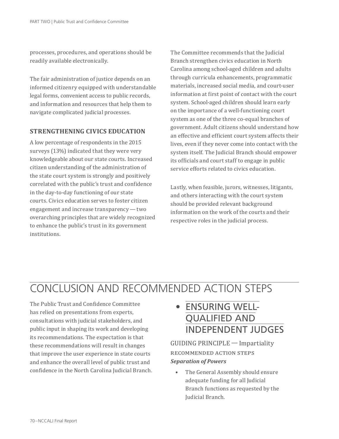processes, procedures, and operations should be readily available electronically.

The fair administration of justice depends on an informed citizenry equipped with understandable legal forms, convenient access to public records, and information and resources that help them to navigate complicated judicial processes.

#### **STRENGTHENING CIVICS EDUCATION**

A low percentage of respondents in the 2015 surveys (13%) indicated that they were very knowledgeable about our state courts. Increased citizen understanding of the administration of the state court system is strongly and positively correlated with the public's trust and confidence in the day-to-day functioning of our state courts. Civics education serves to foster citizen engagement and increase transparency — two overarching principles that are widely recognized to enhance the public's trust in its government institutions.

The Committee recommends that the Judicial Branch strengthen civics education in North Carolina among school-aged children and adults through curricula enhancements, programmatic materials, increased social media, and court-user information at first point of contact with the court system. School-aged children should learn early on the importance of a well-functioning court system as one of the three co-equal branches of government. Adult citizens should understand how an effective and efficient court system affects their lives, even if they never come into contact with the system itself. The Judicial Branch should empower its officials and court staff to engage in public service efforts related to civics education.

Lastly, when feasible, jurors, witnesses, litigants, and others interacting with the court system should be provided relevant background information on the work of the courts and their respective roles in the judicial process.

# CONCLUSION AND RECOMMENDED ACTION STEPS

The Public Trust and Confidence Committee has relied on presentations from experts, consultations with judicial stakeholders, and public input in shaping its work and developing its recommendations. The expectation is that these recommendations will result in changes that improve the user experience in state courts and enhance the overall level of public trust and confidence in the North Carolina Judicial Branch.

# • ENSURING WELL-QUALIFIED AND INDEPENDENT JUDGES

GUIDING PRINCIPLE — Impartiality RECOMMENDED ACTION STEPS *Separation of Powers*

The General Assembly should ensure adequate funding for all Judicial Branch functions as requested by the Judicial Branch.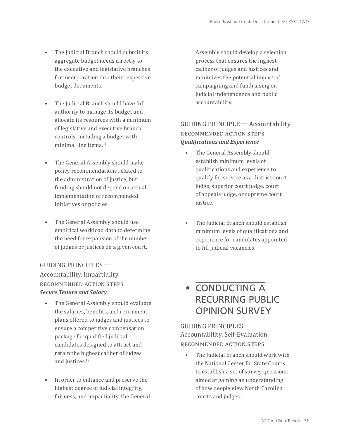- The Judicial Branch should submit its aggregate budget needs directly to the executive and legislative branches for incorporation into their respective budget documents.
- The Judicial Branch should have full authority to manage its budget and allocate its resources with a minimum of legislative and executive branch controls, including a budget with minimal line items.11
- The General Assembly should make policy recommendations related to the administration of justice, but funding should not depend on actual implementation of recommended initiatives or policies.
- The General Assembly should use empirical workload data to determine the need for expansion of the number of judges or justices on a given court.

GUIDING PRINCIPLES —  Accountability, Impartiality RECOMMENDED ACTION STEPS *Secure Tenure and Salary*

- The General Assembly should evaluate the salaries, benefits, and retirement plans offered to judges and justices to ensure a competitive compensation package for qualified judicial candidates designed to attract and retain the highest caliber of judges and justices.<sup>12</sup>
- In order to enhance and preserve the highest degree of judicial integrity, fairness, and impartiality, the General

Assembly should develop a selection process that ensures the highest caliber of judges and justices and minimizes the potential impact of campaigning and fundraising on judicial independence and public accountability.

## GUIDING PRINCIPLE — Accountability RECOMMENDED ACTION STEPS *Qualifications and Experience*

- The General Assembly should establish minimum levels of qualifications and experience to qualify for service as a district court judge, superior court judge, court of appeals judge, or supreme court justice.
- The Judicial Branch should establish minimum levels of qualifications and experience for candidates appointed to fill judicial vacancies.

## • CONDUCTING A RECURRING PUBLIC OPINION SURVEY

GUIDING PRINCIPLES —  Accountability, Self-Evaluation recommended action steps

The Judicial Branch should work with the National Center for State Courts to establish a set of survey questions aimed at gaining an understanding of how people view North Carolina courts and judges.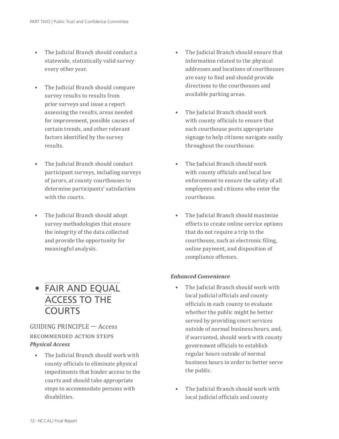- The Judicial Branch should conduct a statewide, statistically valid survey every other year.
- The Judicial Branch should compare survey results to results from prior surveys and issue a report assessing the results, areas needed for improvement, possible causes of certain trends, and other relevant factors identified by the survey results.
- The Judicial Branch should conduct participant surveys, including surveys of jurors, at county courthouses to determine participants' satisfaction with the courts.
- The Judicial Branch should adopt survey methodologies that ensure the integrity of the data collected and provide the opportunity for meaningful analysis.



### GUIDING PRINCIPLE — Access RECOMMENDED ACTION STEPS *Physical Access*

• The Judicial Branch should work with county officials to eliminate physical impediments that hinder access to the courts and should take appropriate steps to accommodate persons with disabilities.

- The Judicial Branch should ensure that information related to the physical addresses and locations of courthouses are easy to find and should provide directions to the courthouses and available parking areas.
- The Judicial Branch should work with county officials to ensure that each courthouse posts appropriate signage to help citizens navigate easily throughout the courthouse.
- The Judicial Branch should work with county officials and local law enforcement to ensure the safety of all employees and citizens who enter the courthouse.
- The Judicial Branch should maximize efforts to create online service options that do not require a trip to the courthouse, such as electronic filing, online payment, and disposition of compliance offenses.

#### *Enhanced Convenience*

- The Judicial Branch should work with local judicial officials and county officials in each county to evaluate whether the public might be better served by providing court services outside of normal business hours, and, if warranted, should work with county government officials to establish regular hours outside of normal business hours in order to better serve the public.
- The Judicial Branch should work with local judicial officials and county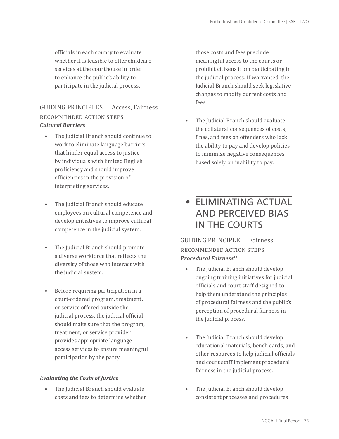officials in each county to evaluate whether it is feasible to offer childcare services at the courthouse in order to enhance the public's ability to participate in the judicial process.

## GUIDING PRINCIPLES — Access, Fairness RECOMMENDED ACTION STEPS *Cultural Barriers*

- The Judicial Branch should continue to work to eliminate language barriers that hinder equal access to justice by individuals with limited English proficiency and should improve efficiencies in the provision of interpreting services.
- The Judicial Branch should educate employees on cultural competence and develop initiatives to improve cultural competence in the judicial system.
- The Judicial Branch should promote a diverse workforce that reflects the diversity of those who interact with the judicial system.
- Before requiring participation in a court-ordered program, treatment, or service offered outside the judicial process, the judicial official should make sure that the program, treatment, or service provider provides appropriate language access services to ensure meaningful participation by the party.

#### *Evaluating the Costs of Justice*

• The Judicial Branch should evaluate costs and fees to determine whether those costs and fees preclude meaningful access to the courts or prohibit citizens from participating in the judicial process. If warranted, the Judicial Branch should seek legislative changes to modify current costs and fees.

• The Judicial Branch should evaluate the collateral consequences of costs, fines, and fees on offenders who lack the ability to pay and develop policies to minimize negative consequences based solely on inability to pay.

• ELIMINATING ACTUAL AND PERCEIVED BIAS IN THE COURTS

GUIDING PRINCIPLE — Fairness recommended action steps *Procedural Fairness*<sup>13</sup>

- The Judicial Branch should develop ongoing training initiatives for judicial officials and court staff designed to help them understand the principles of procedural fairness and the public's perception of procedural fairness in the judicial process.
- The Judicial Branch should develop educational materials, bench cards, and other resources to help judicial officials and court staff implement procedural fairness in the judicial process.
- The Judicial Branch should develop consistent processes and procedures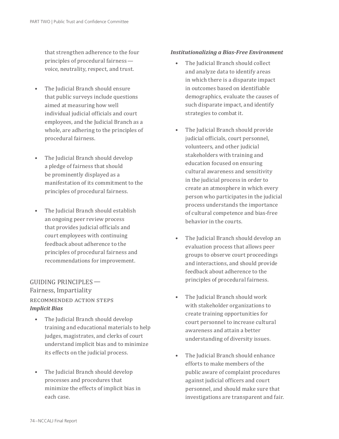that strengthen adherence to the four principles of procedural fairness   voice, neutrality, respect, and trust.

- The Judicial Branch should ensure that public surveys include questions aimed at measuring how well individual judicial officials and court employees, and the Judicial Branch as a whole, are adhering to the principles of procedural fairness.
- The Judicial Branch should develop a pledge of fairness that should be prominently displayed as a manifestation of its commitment to the principles of procedural fairness.
- The Judicial Branch should establish an ongoing peer review process that provides judicial officials and court employees with continuing feedback about adherence to the principles of procedural fairness and recommendations for improvement.

#### GUIDING PRINCIPLES —  Fairness, Impartiality RECOMMENDED ACTION STEPS *Implicit Bias*

- The Judicial Branch should develop training and educational materials to help judges, magistrates, and clerks of court understand implicit bias and to minimize its effects on the judicial process.
- The Judicial Branch should develop processes and procedures that minimize the effects of implicit bias in each case.

#### *Institutionalizing a Bias-Free Environment*

- The Judicial Branch should collect and analyze data to identify areas in which there is a disparate impact in outcomes based on identifiable demographics, evaluate the causes of such disparate impact, and identify strategies to combat it.
- The Judicial Branch should provide judicial officials, court personnel, volunteers, and other judicial stakeholders with training and education focused on ensuring cultural awareness and sensitivity in the judicial process in order to create an atmosphere in which every person who participates in the judicial process understands the importance of cultural competence and bias-free behavior in the courts.
- The Judicial Branch should develop an evaluation process that allows peer groups to observe court proceedings and interactions, and should provide feedback about adherence to the principles of procedural fairness.
- The Judicial Branch should work with stakeholder organizations to create training opportunities for court personnel to increase cultural awareness and attain a better understanding of diversity issues.
- The Judicial Branch should enhance efforts to make members of the public aware of complaint procedures against judicial officers and court personnel, and should make sure that investigations are transparent and fair.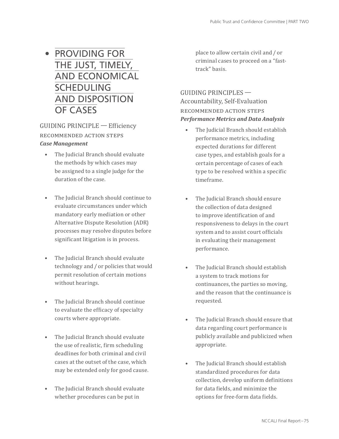# • PROVIDING FOR THE JUST, TIMELY, AND ECONOMICAL **SCHEDULING** AND DISPOSITION OF CASES

#### GUIDING PRINCIPLE — Efficiency RECOMMENDED ACTION STEPS *Case Management*

- The Judicial Branch should evaluate the methods by which cases may be assigned to a single judge for the duration of the case.
- The Judicial Branch should continue to evaluate circumstances under which mandatory early mediation or other Alternative Dispute Resolution (ADR) processes may resolve disputes before significant litigation is in process.
- The Judicial Branch should evaluate technology and / or policies that would permit resolution of certain motions without hearings.
- The Judicial Branch should continue to evaluate the efficacy of specialty courts where appropriate.
- The Judicial Branch should evaluate the use of realistic, firm scheduling deadlines for both criminal and civil cases at the outset of the case, which may be extended only for good cause.
- The Judicial Branch should evaluate whether procedures can be put in

place to allow certain civil and / or criminal cases to proceed on a "fasttrack" basis.

### GUIDING PRINCIPLES —  Accountability, Self-Evaluation recommended action steps *Performance Metrics and Data Analysis*

- The Judicial Branch should establish performance metrics, including expected durations for different case types, and establish goals for a certain percentage of cases of each type to be resolved within a specific timeframe.
- The Judicial Branch should ensure the collection of data designed to improve identification of and responsiveness to delays in the court system and to assist court officials in evaluating their management performance.
- The Judicial Branch should establish a system to track motions for continuances, the parties so moving, and the reason that the continuance is requested.
- The Judicial Branch should ensure that data regarding court performance is publicly available and publicized when appropriate.
- The Judicial Branch should establish standardized procedures for data collection, develop uniform definitions for data fields, and minimize the options for free-form data fields.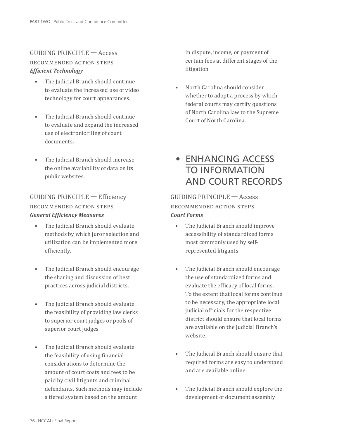## GUIDING PRINCIPLE — Access RECOMMENDED ACTION STEPS *Efficient Technology*

- The Judicial Branch should continue to evaluate the increased use of video technology for court appearances.
- The Judicial Branch should continue to evaluate and expand the increased use of electronic filing of court documents.
- The Judicial Branch should increase the online availability of data on its public websites.

### GUIDING PRINCIPLE — Efficiency recommended action steps *General Efficiency Measures*

- The Judicial Branch should evaluate methods by which juror selection and utilization can be implemented more efficiently.
- The Judicial Branch should encourage the sharing and discussion of best practices across judicial districts.
- The Judicial Branch should evaluate the feasibility of providing law clerks to superior court judges or pools of superior court judges.
- The Judicial Branch should evaluate the feasibility of using financial considerations to determine the amount of court costs and fees to be paid by civil litigants and criminal defendants. Such methods may include a tiered system based on the amount

in dispute, income, or payment of certain fees at different stages of the litigation.

• North Carolina should consider whether to adopt a process by which federal courts may certify questions of North Carolina law to the Supreme Court of North Carolina.

## • ENHANCING ACCESS TO INFORMATION AND COURT RECORDS

#### GUIDING PRINCIPLE — Access RECOMMENDED ACTION STEPS *Court Forms*

- The Judicial Branch should improve accessibility of standardized forms most commonly used by selfrepresented litigants.
- The Judicial Branch should encourage the use of standardized forms and evaluate the efficacy of local forms. To the extent that local forms continue to be necessary, the appropriate local judicial officials for the respective district should ensure that local forms are available on the Judicial Branch's website.
- The Judicial Branch should ensure that required forms are easy to understand and are available online.
- The Judicial Branch should explore the development of document assembly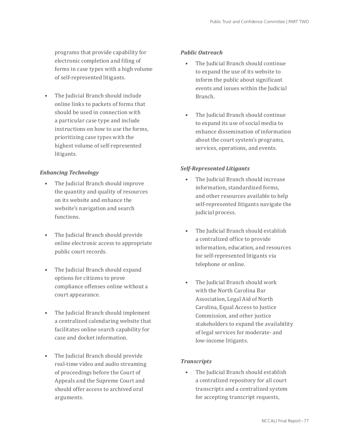programs that provide capability for electronic completion and filing of forms in case types with a high volume of self-represented litigants.

• The Judicial Branch should include online links to packets of forms that should be used in connection with a particular case type and include instructions on how to use the forms, prioritizing case types with the highest volume of self-represented litigants.

#### *Enhancing Technology*

- The Judicial Branch should improve the quantity and quality of resources on its website and enhance the website's navigation and search functions.
- The Judicial Branch should provide online electronic access to appropriate public court records.
- The Judicial Branch should expand options for citizens to prove compliance offenses online without a court appearance.
- The Judicial Branch should implement a centralized calendaring website that facilitates online search capability for case and docket information.
- The Judicial Branch should provide real-time video and audio streaming of proceedings before the Court of Appeals and the Supreme Court and should offer access to archived oral arguments.

#### *Public Outreach*

- The Judicial Branch should continue to expand the use of its website to inform the public about significant events and issues within the Judicial Branch.
- The Judicial Branch should continue to expand its use of social media to enhance dissemination of information about the court system's programs, services, operations, and events.

#### *Self-Represented Litigants*

- The Judicial Branch should increase information, standardized forms, and other resources available to help self-represented litigants navigate the judicial process.
- The Judicial Branch should establish a centralized office to provide information, education, and resources for self-represented litigants via telephone or online.
- The Judicial Branch should work with the North Carolina Bar Association, Legal Aid of North Carolina, Equal Access to Justice Commission, and other justice stakeholders to expand the availability of legal services for moderate- and low-income litigants.

#### *Transcripts*

• The Judicial Branch should establish a centralized repository for all court transcripts and a centralized system for accepting transcript requests,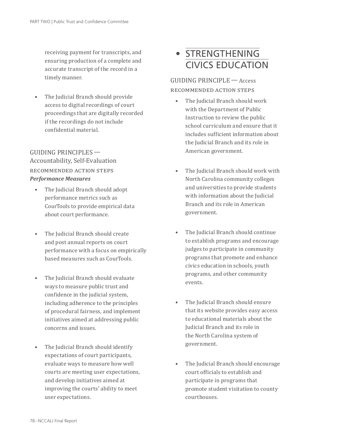receiving payment for transcripts, and ensuring production of a complete and accurate transcript of the record in a timely manner.

• The Judicial Branch should provide access to digital recordings of court proceedings that are digitally recorded if the recordings do not include confidential material.

### GUIDING PRINCIPLES —  Accountability, Self-Evaluation recommended action steps *Performance Measures*

- The Judicial Branch should adopt performance metrics such as CourTools to provide empirical data about court performance.
- The Judicial Branch should create and post annual reports on court performance with a focus on empirically based measures such as CourTools.
- The Judicial Branch should evaluate ways to measure public trust and confidence in the judicial system, including adherence to the principles of procedural fairness, and implement initiatives aimed at addressing public concerns and issues.
- The Judicial Branch should identify expectations of court participants, evaluate ways to measure how well courts are meeting user expectations, and develop initiatives aimed at improving the courts' ability to meet user expectations.

# • STRENGTHENING CIVICS EDUCATION

GUIDING PRINCIPLE — Access RECOMMENDED ACTION STEPS

- The Judicial Branch should work with the Department of Public Instruction to review the public school curriculum and ensure that it includes sufficient information about the Judicial Branch and its role in American government.
- The Judicial Branch should work with North Carolina community colleges and universities to provide students with information about the Judicial Branch and its role in American government.
- The Judicial Branch should continue to establish programs and encourage judges to participate in community programs that promote and enhance civics education in schools, youth programs, and other community events.
- The Judicial Branch should ensure that its website provides easy access to educational materials about the Judicial Branch and its role in the North Carolina system of government.
- The Judicial Branch should encourage court officials to establish and participate in programs that promote student visitation to county courthouses.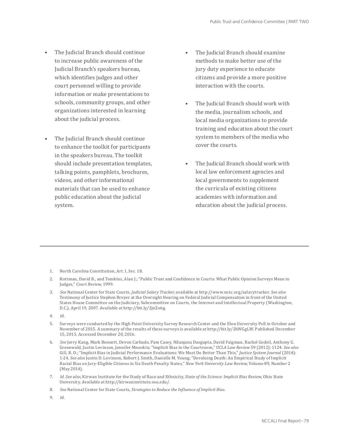- The Judicial Branch should continue to increase public awareness of the Judicial Branch's speakers bureau, which identifies judges and other court personnel willing to provide information or make presentations to schools, community groups, and other organizations interested in learning about the judicial process.
- The Judicial Branch should continue to enhance the toolkit for participants in the speakers bureau. The toolkit should include presentation templates, talking points, pamphlets, brochures, videos, and other informational materials that can be used to enhance public education about the judicial system.
- The Judicial Branch should examine methods to make better use of the jury duty experience to educate citizens and provide a more positive interaction with the courts.
- The Judicial Branch should work with the media, journalism schools, and local media organizations to provide training and education about the court system to members of the media who cover the courts.
- The Judicial Branch should work with local law enforcement agencies and local governments to supplement the curricula of existing citizens academies with information and education about the judicial process.

- 1. North Carolina Constitution, Art. I, Sec. 18.
- 2. Rottman, David B., and Tomkins, Alan J.; "Public Trust and Confidence in Courts: What Public Opinion Surveys Mean to Judges," *Court Review*, 1999.
- 3. *See* National Center for State Courts, *Judicial Salary Tracker*, available at http://www.ncsc.org/salarytracker. *See also* Testimony of Justice Stephen Breyer at the Oversight Hearing on Federal Judicial Compensation in front of the United States House Committee on the Judiciary, Subcommittee on Courts, the Internet and Intellectual Property (Washington, D.C.), April 19, 2007. Available at http://bit.ly/2jnZo6g.
- 4. *Id*.
- 5. Surveys were conducted by the High Point University Survey Research Center and the Elon University Poll in October and November of 2015. A summary of the results of these surveys is available at http://bit.ly/2hWGgLW. Published December 15, 2015. Accessed December 20, 2016.
- 6. *See* Jerry Kang, Mark Bennett, Devon Carbado, Pam Casey, Nilanjana Dasgupta, David Faigman, Rachel Godsil, Anthony G. Greenwald, Justin Levinson, Jennifer Mnookin; "Implicit Bias in the Courtroom," *UCLA Law Review* 59 (2012): 1124. *See also* Gill, R. D.; "Implicit Bias in Judicial Performance Evaluations: We Must Do Better Than This," *Justice System Journal* (2014): 1-24. *See also* Justin D. Levinson, Robert J. Smith, Danielle M. Young; "Devaluing Death: An Empirical Study of Implicit Racial Bias on Jury-Eligible Citizens in Six Death Penalty States," *New York University Law Review*, Volume 89, Number 2 (May 2014).
- 7. *Id*. *See also*, Kirwan Institute for the Study of Race and Ethnicity, *State of the Science: Implicit Bias Review*, Ohio State University. Available at http://kirwaninstitute.osu.edu/.
- 8. *See* National Center for State Courts, *Strategies to Reduce the Influence of Implicit Bias*.
- 9. *Id*.